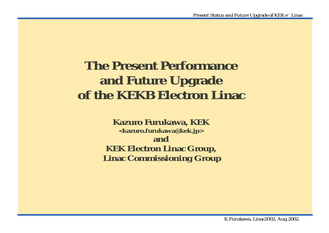## **The Present Performance and Future Upgrade of the KEKB Electron Linac**

**Kazuro Furukawa, KEK <kazuro.furukawa@kek.jp> and KEK Electron Linac Group, Linac Commissioning Group**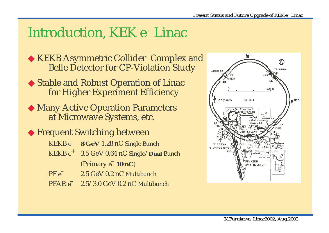## Introduction, KEK e– Linac

◆ KEKB Asymmetric Collider Complex and Belle Detector for CP-Violation Study

- ◆ Stable and Robust Operation of Linac for Higher Experiment Efficiency
- ◆ Many Active Operation Parameters at Microwave Systems, etc.

◆ Frequent Switching between

- KEKB *e* **8 GeV** 1.28 nC Single Bunch
- KEKB *e*<sup>+</sup> 3.5 GeV 0.64 nC Single/**Dual** Bunch (Primary *e*– **10 nC**)
- PF *e* 2.5 GeV 0.2 nC Multibunch
- PFAR *e* 2.5/3.0 GeV 0.2 nC Multibunch

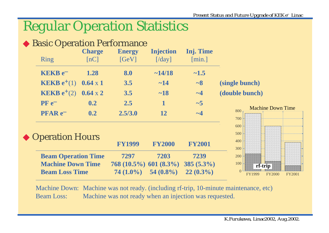### Regular Operation Statistics

# ◆ Basic Operation Performance



Machine Down: Machine was not ready. (including rf-trip, 10-minute maintenance, etc) Beam Loss: Machine was not ready when an injection was requested.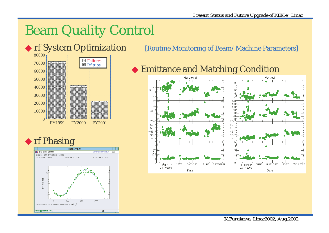## Beam Quality Control







#### ◆ rf System Optimization [Routine Monitoring of Beam/Machine Parameters]

◆ Emittance and Matching Condition

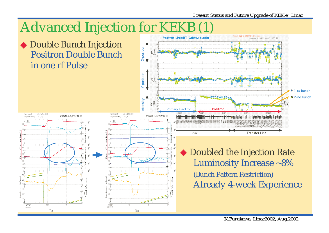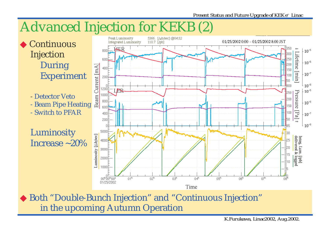

 $03<sup>h</sup>$ 

 $\Box$ <sup>h</sup>

Time

 $05<sup>h</sup>$ 

 $n<sup>th</sup>$ 

◆ Both "Double-Bunch Injection" and "Continuous Injection" in the upcoming Autumn Operation

 $02<sup>h</sup>$ 

 $01<sup>h</sup>$ 

oohŏomoot 01/25/2002

*K.Furukawa, Linac2002, Aug.2002.*

 $\overline{17}^{\overline{1}}$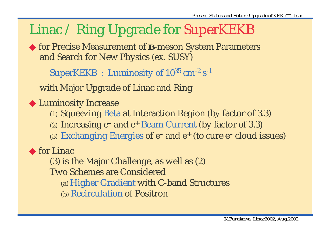### Linac / Ring Upgrade for SuperKEKB

◆ for Precise Measurement of *B*-meson System Parameters and Search for New Physics (ex. SUSY)

SuperKEKB : Luminosity of  $10^{35}$  cm<sup>-2</sup> s<sup>-1</sup>

with Major Upgrade of Linac and Ring

◆ Luminosity Increase

- (1) Squeezing Beta at Interaction Region (by factor of 3.3)
- (2) Increasing e– and e+ Beam Current (by factor of 3.3)
- (3) Exchanging Energies of  $e^-$  and  $e^+$  (to cure  $e^-$  cloud issues)

◆ for Linac

(3) is the Major Challenge, as well as (2)

Two Schemes are Considered

- (a) Higher Gradient with C-band Structures
- (b) Recirculation of Positron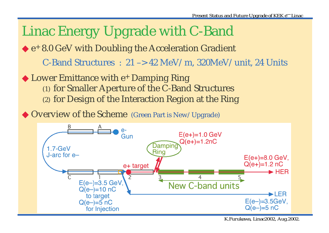

*K.Furukawa, Linac2002, Aug.2002.*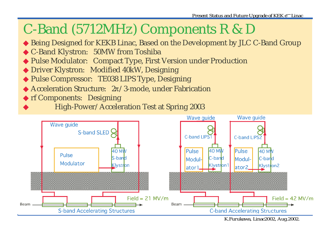# C-Band (5712MHz) Components R & D

- ◆ Being Designed for KEKB Linac, Based on the Development by JLC C-Band Group
- ◆ C-Band Klystron: 50MW from Toshiba
- ◆ Pulse Modulator: Compact Type, First Version under Production
- ◆ Driver Klystron: Modified 40kW, Designing
- ◆ Pulse Compressor: TE038 LIPS Type, Designing
- ◆ Acceleration Structure: 2π/3-mode, under Fabrication
- ◆ rf Components: Designing
- High-Power/Acceleration Test at Spring 2003



*K.Furukawa, Linac2002, Aug.2002.*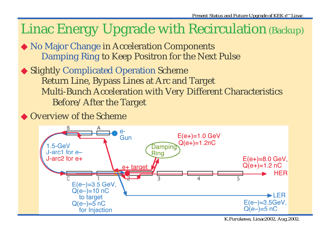## Linac Energy Upgrade with Recirculation (Backup)

- ◆ No Major Change in Acceleration Components Damping Ring to Keep Positron for the Next Pulse
- ◆ Slightly Complicated Operation Scheme Return Line, Bypass Lines at Arc and Target Multi-Bunch Acceleration with Very Different Characteristics Before/After the Target
- ◆ Overview of the Scheme



*K.Furukawa, Linac2002, Aug.2002.*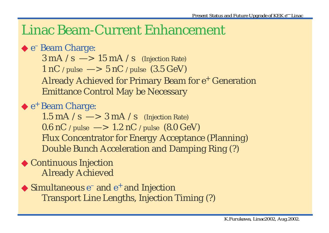### Linac Beam-Current Enhancement

#### ◆ e<sup>–</sup> Beam Charge:

 $3 \text{ mA}$  /s  $\longrightarrow 15 \text{ mA}$  /s (Injection Rate) 1 nC /pulse  $\rightarrow$  5 nC /pulse (3.5 GeV) Already Achieved for Primary Beam for e<sup>+</sup> Generation Emittance Control May be Necessary

◆ e<sup>+</sup> Beam Charge:

1.5 mA  $\sqrt{s}$   $\rightarrow$  3 mA  $\sqrt{s}$  (Injection Rate) 0.6 nC /pulse  $\longrightarrow 1.2$  nC /pulse (8.0 GeV) Flux Concentrator for Energy Acceptance (Planning) Double Bunch Acceleration and Damping Ring (?)

#### ◆ Continuous Injection Already Achieved

 $\blacklozenge$  Simultaneous  $e^-$  and  $e^+$  and Injection Transport Line Lengths, Injection Timing (?)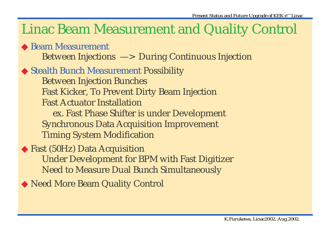## Linac Beam Measurement and Quality Control

◆ Beam Measurement Between Injections —> During Continuous Injection

#### ◆ Stealth Bunch Measurement Possibility

Between Injection Bunches Fast Kicker, To Prevent Dirty Beam Injection Fast Actuator Installation ex. Fast Phase Shifter is under Development Synchronous Data Acquisition Improvement Timing System Modification

#### ◆ Fast (50Hz) Data Acquisition Under Development for BPM with Fast Digitizer Need to Measure Dual Bunch Simultaneously

◆ Need More Beam Quality Control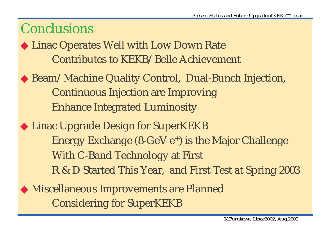### Conclusions

◆ Linac Operates Well with Low Down Rate Contributes to KEKB/Belle Achievement

- ◆ Beam/Machine Quality Control, Dual-Bunch Injection, Continuous Injection are Improving Enhance Integrated Luminosity
- ◆ Linac Upgrade Design for SuperKEKB Energy Exchange  $(8\text{-GeV} e^+)$  is the Major Challenge With C-Band Technology at First R & D Started This Year, and First Test at Spring 2003
- ◆ Miscellaneous Improvements are Planned Considering for SuperKEKB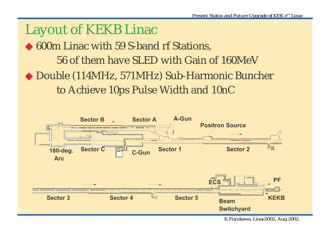### Layout of KEKB Linac

◆ 600m Linac with 59 S-band rf Stations, 56 of them have SLED with Gain of 160MeV

◆ Double (114MHz, 571MHz) Sub-Harmonic Buncher to Achieve 10ps Pulse Width and 10nC



*K.Furukawa, Linac2002, Aug.2002.*